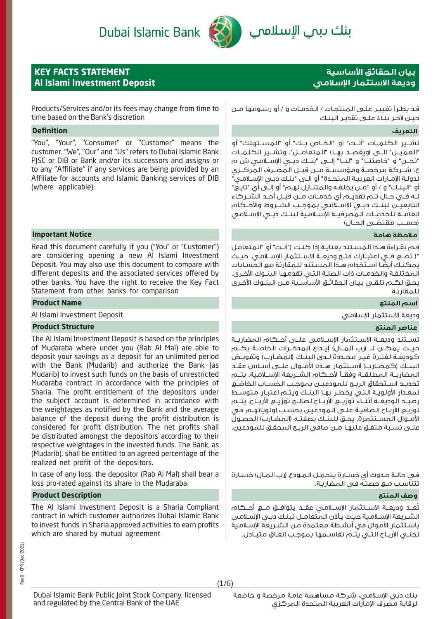# Dubai Islamic Bank



# بنك ىبمي الإسلاممي

# **KEY FACTS STATEMENT Al Islami Investment Deposit**

**بيان الحقائق اساسية وديعة الاستثمار اسلامي**

Products/Services and/or its fees may change from time to time based on the Bank's discretion

### **التعريف Definition**

"You", "Your", "Consumer" or "Customer" means the customer. "We", "Our" and "Us" refers to Dubai Islamic Bank PJSC or DIB or Bank and/or its successors and assigns or to any "Affiliate" if any services are being provided by an Affiliate for accounts and Islamic Banking services of DIB (where applicable).

### **ملاحظة هامة Notice Important**

Read this document carefully if you ("You" or "Customer") are considering opening a new Al Islami Investment Deposit. You may also use this document to compare with different deposits and the associated services offered by other banks. You have the right to receive the Key Fact Statement from other banks for comparison

### **اسم المنتج Name Product**

Al Islami Investment Deposit الإسلامي الاستثمار وديعة

### **عناصر المنتج Structure Product**

The Al Islami Investment Deposit is based on the principles of Mudaraba where under you (Rab Al Mal) are able to deposit your savings as a deposit for an unlimited period with the Bank (Mudarib) and authorize the Bank (as Mudarib) to invest such funds on the basis of unrestricted Mudaraba contract in accordance with the principles of Sharia. The profit entitlement of the depositors under the subject account is determined in accordance with the weightages as notified by the Bank and the average balance of the deposit during the profit distribution is considered for profit distribution. The net profits shall be distributed amongst the depositors according to their respective weightages in the invested funds. The Bank, as (Mudarib), shall be entitled to an agreed percentage of the realized net profit of the depositors.

In case of any loss, the depositor (Rab Al Mal) shall bear a loss pro-rated against its share in the Mudaraba.

### **وصف المنتج Description Product**

The Al Islami Investment Deposit is a Sharia Compliant contract in which customer authorizes Dubai Islamic Bank to invest funds in Sharia approved activities to earn profits which are shared by mutual agreement

قـد يطـرأ تغييـر علـى المنتجـات / الخدمـات و / أو رسـومها مـن حيـن لآخـر بنـاءُ علــى تقديـر الـبنـك

تشــير الكلمــات "أنــت" أو "الخــاص بــك" أو "المســتهلك" أو "العميــل" الــى (ويقصــد بهــا) "المتعامــل". وتشــير الكلمــات "نحــن" و "خاصتنــا" و "لنــا" إلــى "بنــك دبــي الإســلامي ش م ع، شــركة مرخصــة ومؤسســة مــن قبــل المصــرف المركــزي لدولـة الإمـارات العربيـة المتحـدة" أو الـى "بنـك دبـي الإسـلامي" أو "البنـك" و / أو "مـن يخلفـه والمتنـازل لهـم" أو إلـى أي "تابـع" لــه فــي حــال تــم تقديــم أي خدمــات مــن قبــل أحــد الشــركاء التابعيــن لبنــك دبــي الإســلامي بموجــب الشــروط والأحــكام العامــة للخدمــات المصرفيــة الإســلامية لبنــك دبــي الإســلامي (حســب مقتضــى الحــال)

قـم بقـراءة هـذا المسـتند بعنايـة إذا كنـت ("أنـت" أو "المتعامل ") تضــع فــي اعتبــارك فتــح وديعــة الاســتثمار الإســلامي. حيــث ً يمكنـك أيضـا اسـتخدام هـذا المسـتند للمقارنة مع الحسـابات المختلفـة والخدمـات ذات الصلـة التـي تقدمهـا البنـوك الأخـرى. يحـق لكـم تلقـي بيـان الحقائـق الأساسـية مـن البنـوك الأخـرى للمقارنـة

تســتند وديعــة الاســتثمار الإســلامي علــى أحــكام المضاربــة حيــث يمكــن لــ (رب المــال) إيــداع المدخــرات الخاصــة بكــم كوديعــة لفتــرة غيــر محــددة لــدى البنــك (المضــارب) وتفويــض البنــك (كمضــارب) لاســتثمار هــذه الأمــوال علــى أســاس عقــد المضاربــة المطلقــة وفقــاً لأحــكام الشــريعة الإســلامية. يتــم تحديــد اســتحقاق الربــح للمودعيــن بموجــب الحســاب الخاضــع لمقـدار الأولويـة التـي يخطـر بهـا البنـك ويتـم اعتبـار متوسـط رصيــد الوديعــة أثنــاء توزيــع الأربــاح لصالــح توزيــع الأربــاح. يتــم توزيـع الأربـاح الصافيـة علـى المودعيـن بحسـب اولوياتهـم فـي الأمـوال المسـتثمرة. يحـق للبنـك بصفتـه (المضـارب) الحصـول علـى نسـبة متفـق عليهـا مـن صافي الربـح المحقـق للمودعين.

فـي حالـة حـدوث أي خسـارة يتحمـل المـودع (رب المـال) خسـارة تتناسـب مـع حصتـه فـي المضاربـة.

تُعــد وديعــة الاســتثمار الإســلامي عقــد يتوافــق مــع أحــكام الشـريعة الإسـلامية حيـث يـأذن المتعامـل لبنـك دبـي الإسـلامي باسـتثمار الأموال في أنشـطة معتمدة من الشـريعة الإسـلامية لجنـي الأربـاح التـي يتـم تقاسـمها بموجـب اتفـاق متبـادل.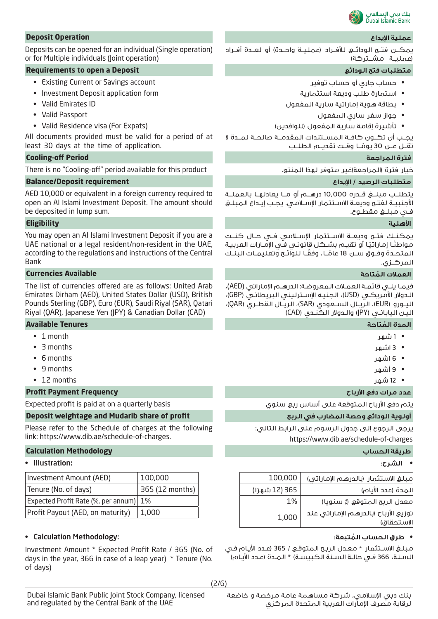

### بنك دبمى الإسلامى Dubai Islamic Bank

### **عملية ايداع Operation Deposit**

Deposits can be opened for an individual (Single operation) or for Multiple individuals (Joint operation)

### **Requirements to open a Deposit الودائع فتح متطلبات**

- Existing Current or Savings account
- Investment Deposit application form
- Valid Emirates ID
- Valid Passport
- Valid Residence visa (For Expats)

All documents provided must be valid for a period of at least 30 days at the time of application.

# **Cooling-off Period المراجعة فترة**

There is no "Cooling-off" period available for this product .المنتج لهذا متوفر غير)المراجعة (فترة خيار

### **متطلبات الرصيد / ايداع requirement Deposit/Balance**

AED 10,000 or equivalent in a foreign currency required to open an Al Islami Investment Deposit. The amount should be deposited in lump sum.

# **اهلية Eligibility**

You may open an Al Islami Investment Deposit if you are a UAE national or a legal resident/non-resident in the UAE, according to the regulations and instructions of the Central Bank

### **ُ العملات المتاحة Available Currencies**

The list of currencies offered are as follows: United Arab Emirates Dirham (AED), United States Dollar (USD), British Pounds Sterling (GBP), Euro (EUR), Saudi Riyal (SAR), Qatari Riyal (QAR), Japanese Yen (JPY) & Canadian Dollar (CAD)

### **ُ المدة المتاحة Tenures Available**

- 1 month
- 3 months
- 6 months
- 9 months
- 12 months

### **عدد مرات دفع ارباح Frequency Payment Profit**

### **Deposit weightage and Mudarib share of profit الربح في المضارب وحصة الودائع أولوية**

Please refer to the Schedule of charges at the following link: https://www.dib.ae/schedule-of-charges.

### **طريقة الحساب Methodology Calculation**

### • **الشرح:** :Illustration•

| Investment Amount (AED)                | 100,000         |
|----------------------------------------|-----------------|
| Tenure (No. of days)                   | 365 (12 months) |
| Expected Profit Rate (%, per annum) 1% |                 |
| Profit Payout (AED, on maturity)       | 1,000           |

### • Calculation Methodology:

Investment Amount \* Expected Profit Rate / 365 (No. of days in the year, 366 in case of a leap year) \* Tenure (No. of days)

يمكــن فتــح الودائــع للأفــراد (عمليــة واحــدة) أو لعــدة أفــراد (عمليــة مشــتركة)

- حساب جاري أو حساب توفير
- استمارة طلب وديعة استثمارية
- بطاقة هوية إماراتية سارية المفعول
	- جواز سفر ساري المفعول
- تأشيرة إقامة سارية المفعول (للوافدين)

يجــب أن تكــون كافــة المســتندات المقدمــة صالحــة لمــدة لا تقــل عــن 30 يومــا وقــت تقديــم الطلــب ً

يتطلــب مبلــغ قــدره 10,000 درهــم أو مــا يعادلهــا بالعملــة الأجنبيــة لفتــح وديعــة الاســتثمار الإســلامي. يجــب إيــداع المبلــغ فــي مبلــغ مقطــوع.

يمكنــك فتــح وديعــة الاســتثمار الإســلامي فــي حــال كنــت مواطنًـا إماراتيًا أو تقيـم بشـكل قانونـي فـّي الإمـارات العربيـة لمتحــدة وفـوق ســن 18 عامًــا، وفقًـا للوائــُج وتعليمــات البنــك<br>لـمر كــزي.

فيمـا يلـي قائمـة العمـلات المعروضـة: الدرهـم الإماراتي (AED(، الـدولار الأمريكـي (USD(، الجنيـه الإسـترليني البريطانـي (GBP(، اليــورو (EUR(، الريــال الســعودي (SAR(، الريــال القطــري (QAR(، اليـن اليابانـي (JPY (والـدولار الكنـدي (CAD (

- 1 شهر
- 3 اشهر
- 6 اشهر
- 9 أشهر
- 12 شهر

Expected profit is paid at on a quarterly basis سنوي ربع أساس على المتوقعة الأرباح دفع يتم

يرجى الرجوع إلى جدول الرسوم على الرابط التالي: https://www.dib.ae/schedule-of-charges

| مبلغ الاستثمار (بالدرهم الإماراتي)                 | 100,000        |
|----------------------------------------------------|----------------|
| المحة (عدد الأياه)                                 | 365 (12 شهرًا) |
| معدل الربح المتوقع (٪ سنويا)                       | 1%             |
| توزيع الأرباح (بالدرهم الإماراتي عند<br> لاستحقاق) | 1,000          |

### • **ُ طرق الحساب المتبعة:**

مبلـغ الاسـتثمار \* معـدل الربـح المتوقـع / 365 (عـدد الأيـام فـي السـنة، 366 فـي حالـة السـنة الكبيسـة) \* المـدة (عـدد الأيـام)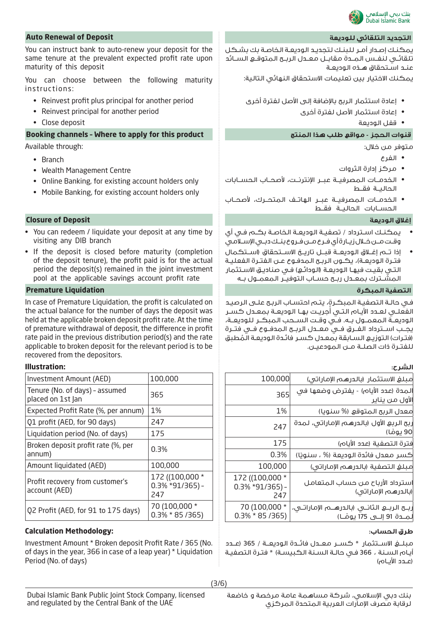

### **Auto Renewal of Deposit للوديعة التلقائي التجديد**

You can instruct bank to auto-renew your deposit for the same tenure at the prevalent expected profit rate upon maturity of this deposit

You can choose between the following maturity instructions:

- Reinvest profit plus principal for another period
- Reinvest principal for another period
- Close deposit

**Booking channels – Where to apply for this product المنتج هذا طلب مواقع - الحجز قنوات**

Available through:

- Branch
- Wealth Management Centre
- Online Banking, for existing account holders only
- Mobile Banking, for existing account holders only

### **Closure of Deposit الوديعة إغلاق**

- You can redeem / liquidate your deposit at any time by visiting any DIB branch
- If the deposit is closed before maturity (completion of the deposit tenure), the profit paid is for the actual period the deposit(s) remained in the joint investment pool at the applicable savings account profit rate

### **التصفية المبكرة Liquidation Premature**

In case of Premature Liquidation, the profit is calculated on the actual balance for the number of days the deposit was held at the applicable broken deposit profit rate. At the time of premature withdrawal of deposit, the difference in profit rate paid in the previous distribution period(s) and the rate applicable to broken deposit for the relevant period is to be recovered from the depositors.

### **الشرح: :Illustration**

| Investment Amount (AED)                             | 100,000                                      |
|-----------------------------------------------------|----------------------------------------------|
| Tenure (No. of days) - assumed<br>placed on 1st Jan | 365                                          |
| Expected Profit Rate (%, per annum)                 | 1%                                           |
| Q1 profit (AED, for 90 days)                        | 247                                          |
| Liquidation period (No. of days)                    | 175                                          |
| Broken deposit profit rate (%, per<br>annum)        | 0.3%                                         |
| Amount liquidated (AED)                             | 100,000                                      |
| Profit recovery from customer's<br>account (AED)    | 172 ((100,000 *<br>$0.3\%$ *91/365) -<br>247 |
| Q2 Profit (AED, for 91 to 175 days)                 | 70 (100,000 *<br>$0.3\% * 85/365$            |

### **طرق الحساب: :Methodology Calculation**

Investment Amount \* Broken deposit Profit Rate / 365 (No. of days in the year, 366 in case of a leap year) \* Liquidation Period (No. of days)

يمكنـك إصـدار أمـر للبنـك لتجديـد الوديعـة الخاصـة بك بشـكل تلقائــي لنفــس المــدة مقابــل معــدل الربــح المتوقــع الســائد عنـد اسـتحقاق هـذه الوديعـة

يمكنك الاختيار بين تعليمات الاستحقاق النهائي التالية:

- إعادة استثمار الربح بالإضافة إلى الأصل لفترة أخرى
	- إعادة استثمار الأصل لفترة أخرى
		- قفل الوديعة

متوفر من خلال:

- الفرع
- مركز إدارة الثروات
- الخدمــات المصرفيــة عبــر الإنترنــت، لأصحــاب الحســابات الحاليــة فقــط
- الخدمــات المصرفيــة عبــر الهاتــف المتحــرك، لأصحــاب الحســابات الحاليــة فقــط

- يمكنـك اسـترداد / تصفيـة الوديعـة الخاصـة بكـم فـي أي وقــت مــن خــلال زيــارة أي فــرع مــن فــروع بنــك دبــي الإســلامي
- إذا تــم إغــلاق الوديعــة قبــل تاريــخ الاســتحقاق (اســتكمال فتـرة الوديعـة)، يكـون الربـح المدفـوع عـن الفتـرة الفعليـة التـي بقيـت فيهـا الوديعـة (الودائـع) فـي صناديـق الاسـتثمار المشــترك بمعــدل ربــح حســاب التوفيــر المعمــول بــه

فـي حالـة التصفيـة المبكـرة، يتـم احتسـاب الربـح علـى الرصيـد ُ الفعلــي لعــدد الأيــام التــي أجريــت بهــا الوديعــة بمعــدل كســر الوديعــة المعمــول بــه. فــي وقــت الســحب المبكــر للوديعــة، يجــب اســترداد الفــرق فــي معــدل الربــح المدفــوع فــي فتــرة (فتـرات) الـتوزيـع السـابقة بمعـدل كسـر فائـدة الوديعـة الـمُطبق<br>للفتـرة ذات الصلـة مــن المودعـــر،

| مبلغ الاستثمار (بالدرهم الإماراتى)                                   | 100,000                                      |
|----------------------------------------------------------------------|----------------------------------------------|
| الـمدة (عـدد الأياه <sub>)</sub> - يفترض وضعـها في<br>الأول من يناير | 365                                          |
| معدل الربح المتوقع (% سنويا)                                         | 1%                                           |
| ربح الربع الأول (بالدرهـم الإماراتي، لـمـدة<br> 90 يومًا)            | 247                                          |
| فترة التصفية (عدد الأياه)                                            | 175                                          |
| كسر معدل فائدة الوديعة (% ، سنويًا)                                  | 0.3%                                         |
| مبلغ التصفية (بالدرهم الإماراتى)                                     | 100,000                                      |
| استرداد الأرباح من حساب المتعامل<br>(بالدرهم الإماراتي)              | 172 ((100,000 *<br>$0.3\%$ *91/365) -<br>247 |
| لمـــدة 91 إلــــى 175 يومُـــا)                                     | 70 (100,000 *<br>$0.3\% * 85/365$            |

مبلــغ الاســتثمار \* كســر معــدل فائــدة الوديعــة / 365 (عــدد أيـام السـنة ، 366 فـي حالـة السـنة الكبيسـة) \* فتـرة التصفيـة (عــدد الأيــام)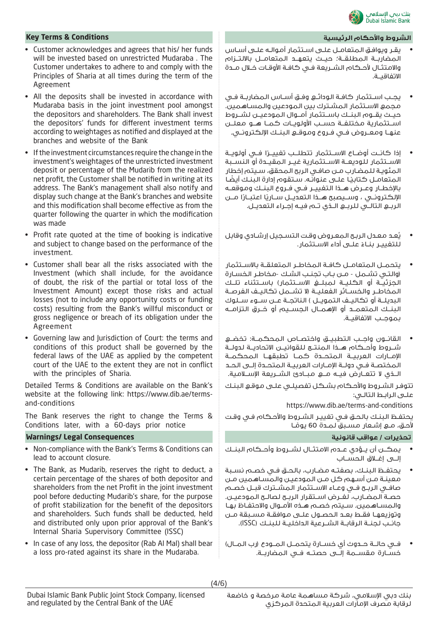

### **الشروط واحكام الرئيسية Conditions & Terms Key**

- Customer acknowledges and agrees that his/ her funds will be invested based on unrestricted Mudaraba . The Customer undertakes to adhere to and comply with the Principles of Sharia at all times during the term of the Agreement
- All the deposits shall be invested in accordance with Mudaraba basis in the joint investment pool amongst the depositors and shareholders. The Bank shall invest the depositors' funds for different investment terms according to weightages as notified and displayed at the branches and website of the Bank
- If the investment circumstances require the change in the investment's weightages of the unrestricted investment deposit or percentage of the Mudarib from the realized net profit, the Customer shall be notified in writing at its address. The Bank's management shall also notify and display such change at the Bank's branches and website and this modification shall become effective as from the quarter following the quarter in which the modification was made
- Profit rate quoted at the time of booking is indicative and subject to change based on the performance of the investment.
- Customer shall bear all the risks associated with the Investment (which shall include, for the avoidance of doubt, the risk of the partial or total loss of the Investment Amount) except those risks and actual losses (not to include any opportunity costs or funding costs) resulting from the Bank's willful misconduct or gross negligence or breach of its obligation under the Agreement
- Governing law and Jurisdiction of Court: the terms and conditions of this product shall be governed by the federal laws of the UAE as applied by the competent court of the UAE to the extent they are not in conflict with the principles of Sharia.

Detailed Terms & Conditions are available on the Bank's website at the following link: https://www.dib.ae/termsand-conditions

The Bank reserves the right to change the Terms & Conditions later, with a 60-days prior notice

### **تحذيرات / عواقب قانونية Consequences Legal /Warnings**

- Non-compliance with the Bank's Terms & Conditions can lead to account closure.
- The Bank, as Mudarib, reserves the right to deduct, a certain percentage of the shares of both depositor and shareholders from the net Profit in the joint investment pool before deducting Mudarib's share, for the purpose of profit stabilization for the benefit of the depositors and shareholders. Such funds shall be deducted, held and distributed only upon prior approval of the Bank's Internal Sharia Supervisory Committee (ISSC)
- In case of any loss, the depositor (Rab Al Mal) shall bear a loss pro-rated against its share in the Mudaraba.

- يقـر ويوافـق المتعامـل علـى اسـتثمار أموالـه علـى أسـاس المضاربــة المطلقــة؛ حيــث يتعهــد المتعامــل بالالتــزام والامتثــال لأحــكام الشــريعة فــي كافــة الأوقــات خــلال مــدة الاتفاقيــة.
- يجــب اســتثمار كافــة الودائــع وفــق أســاس المضاربــة فــي مجمع الاسـتثمار المشـترك بين المودعين والمسـاهمين. حيــث يقــوم البنــك باســتثمار أمــوال المودعيــن لشــروط اســتثمارية مختلفــة حســب الأولويــات كمــا هــو معلــن عنهــا ومعــروض فــي فــروع وموقــع البنــك الإلكترونــي.
- إذا كانــت أوضــاع الاســـتثمار تتطلــب تغييـــرْا فــي أولـويــة الاســتثمار للوديعــة الاســتثمارية غيــر المقيــدة أو النســبة المئويـة للمضـارب مـن صافـي الربح المحقق، سـيتم إخطار المتعامـل كتابيًـا علـى عنوانـّه. سـتقوم إدارة البنـك أيضًا بالإخطــار وعــرض هــذا التغييــر فــي فــروع البنــك وموقعــه الإلكترونــي ، وســيصبح هــذا الـتعديــل ســاريًا اعتبــارًا مــن الربــع التالــي للربــع الــذي تــم فيــه إجــراء التعديــل.
- ُعـد معـدل الربـح المعـروض وقـت التسـجيل إرشـادي وقابل ي للتفييـر بنـاءً علــى أداء الاسـتثمار.
- يتحمــل المتعامــل كافــة المخاطــر المتعلقــة بالاســتثمار (والتـي تشـمل - مـن بـاب تجنـب الشـك -مخاطـر الخسـارة الجزئيــة أو الكليــة لمبلــغ الاســتثمار) باســتثناء تلــك المخاطــر والخســائر الفعليــة (لا تشــمل تكاليــف الفرصــة البديلــة أو تكاليــف التمويــل ) الناتجــة عــن ســوء ســلوك البنــك المتعمــد أو الإهمــال الجســيم أو خــرق التزامــه بموجــب الاتفاقيــة.
- القانــون واجــب التطبيــق واختصــاص المحكمــة: تخضــع شــروط وأحــكام هــذا المنتــج للقوانيــن الاتحاديــة لدولــة الإمــارات العربيــة المتحــدة كمــا تطبقهــا المحكمــة المختصــة فــي دولــة الإمــارات العربيــة المتحــدة إلــى الحــد الــذي لا تتعــارض فيــه مــع مبــادئ الشــريعة الإســلامية.

تتوفـر الشـروط والأحـكام بشـكل تفصيلـي علـى موقـع البنـك علـى الرابـط التالـي:

https://www.dib.ae/terms-and-conditions

يحتفـظ البنـك بالحـق فـي تغييـر الشـروط والأحـكام فـي وقـت ً لأحـق، مـع إشـعار مسـبق لمـدة 60 يومـا

- يمكــن أن يــؤدي عــدم الامتثــال لشــروط وأحــكام البنــك إلــى إغــلاق الحســاب
- يحتفــظ البنــك، بصفتــه مضــارب، بالحــق فــي خصــم نســبة معينـة مـن أسـهم كل مـن المودعيـن والمسـاهمين مـن صافــي الربــح فــي وعــاء الاســتثمار المشــترك قبــل خصــم حصــة المضــارب، لغــرض اســتقرار الربــح لصالــح المودعيــن. والمسـاهمين. سـيتم خصـم هـذه الأمـوال والاحتفـاظ بهـا وتوزيعهـا فقـط بعـد الحصـول علـى موافقـة مسـبقة مـن جانــب لجنــة الرقابــة الشــرعية الداخليــة للبنــك (ISSC(.
- فــي حالــة حــدوث أي خســارة يتحمــل المــودع (رب المــال) خســارة مقســمة إلــى حصتــه فــي المضاربــة.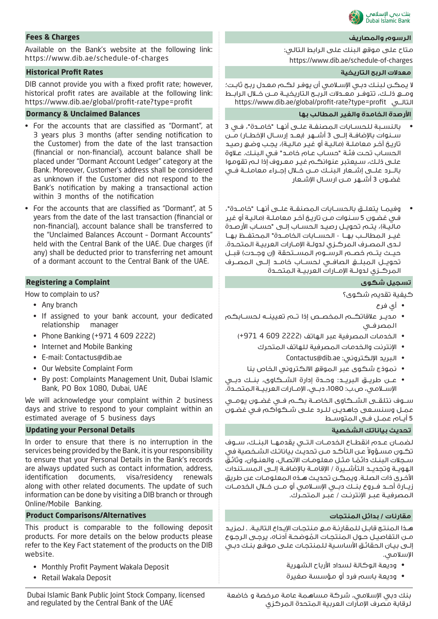

Available on the Bank's website at the following link: https://www.dib.ae/schedule-of-charges

### **معدلات الربح التاريخية Rates Profit Historical**

DIB cannot provide you with a fixed profit rate; however, historical profit rates are available at the following link: https://www.dib.ae/global/profit-rate?type=profit

## **ارصدة الخامدة والغير المطالب بها Balances Unclaimed & Dormancy**

- For the accounts that are classified as "Dormant", at 3 years plus 3 months (after sending notification to the Customer) from the date of the last transaction (financial or non-financial), account balance shall be placed under "Dormant Account Ledger" category at the Bank. Moreover, Customer's address shall be considered as unknown if the Customer did not respond to the Bank's notification by making a transactional action within 3 months of the notification
- For the accounts that are classified as "Dormant", at 5 years from the date of the last transaction (financial or non-financial), account balance shall be transferred to the "Unclaimed Balances Account – Dormant Accounts" held with the Central Bank of the UAE. Due charges (if any) shall be deducted prior to transferring net amount of a dormant account to the Central Bank of the UAE.

# **Registering a Complaint شكوى تسجيل**

How to complain to us?

- Any branch
- If assigned to your bank account, your dedicated relationship manager
- Phone Banking (+971 4 609 2222)
- Internet and Mobile Banking
- E-mail: Contactus@dib.ae
- Our Website Complaint Form
- By post: Complaints Management Unit, Dubai Islamic Bank, PO Box 1080, Dubai, UAE

We will acknowledge your complaint within 2 business days and strive to respond to your complaint within an estimated average of 5 business days

### **Updating your Personal Details الشخصية بياناتك تحديث**

In order to ensure that there is no interruption in the services being provided by the Bank, it is your responsibility to ensure that your Personal Details in the Bank's records are always updated such as contact information, address, identification documents, visa/residency renewals along with other related documents. The update of such information can be done by visiting a DIB branch or through Online/Mobile Banking.

### **مقارنات / بدائل المنتجات Alternatives/Comparisons Product**

This product is comparable to the following deposit products. For more details on the below products please refer to the Key Fact statement of the products on the DIB website.

- Monthly Profit Payment Wakala Deposit
- Retail Wakala Deposit

### **الرسوم والمصاريف Charges & Fees**

متاح على موقع البنك على الرابط التالي: https://www.dib.ae/schedule-of-charges

لا يمكـن لبنـك دبـي الإسـلامي أن يوفـر لكـم معـدل ربـح ثابـت؛ ومــع ذلــك، تتوفــر معــدلات الربــح التاريخيــة مــن خــلال الرابــط https://www.dib.ae/global/profit-rate?type=profit التالــي

- بالنســبة للحســابات المصنفــة علــى أنهــا "خامــدة"، فــي 3 ســنوات بالإضافــة إلــى 3 أشــهر (بعــد إرســال الإخطــار) مــن تاريـخ آخـر معاملـة (ماليـة أو غيـر ماليـة)، يجـب وضـع رصيـد الحسـاب تحـت فئـة "حسـاب عـام خامـد" فـي البنـك. عـلاوة علـى ذلـك، سـيعتبر عنوانكـم غيـر معـروف إذا لـم تقوموا بالــرد علــى إشــعار البنــك مــن خــلال إجــراء معاملــة فــي غضــون 3 أشــهر مــن ارســال الإشــعار
- وفيمــا يتعلــق بالحســابات المصنفــة علــى أنهــا "خامــدة"، فـي غضـون 5 سـنوات مـن تاريـخ آخـر معاملـة (ماليـة أو غير ماليـة)، يتـم تحويـل رصيـد الحسـاب إلـى "حسـاب الأرصـدة غب المطالــب بهــا - الحســابات الخامــدة" المحتفــظ بهــا لـدى المصـرف المركـزي لدولـة الإمـارات العربيـة المتحـدة. حيــث يتــم خصــم الرســوم المســتحقة (إن وجــدت) قبــل تحويــل المبلــغ الصافــي لحســاب خامــد إلــى المصــرف المركــزي لدولــة الإمــارات العربيــة المتحــدة

- كيفية تقديم شكوى؟
	- أي فرع
- مديــر علاقاتكــم المخصــص إذا تــم تعيينــه لحســابكم المصرفــي
	- الخدمات المصرفية عبر الهاتف (2222 609 4 +971)
		- الإنترنت والخدمات المصرفية للهاتف المتحرك
			- Contactus@dib.ae :الإلكتروني البريد•
		- نموذج شكوى عبر الموقع الالكتروني الخاص بنا
- عــن طريــق البريــد: وحــدة إدارة الشــكاوى، بنــك دبــي الإســلامي، ص.ب: ،1080 دبــي، الإمــارات العربيــة المتحــدة.

ســوف نتلقــى الشــكاوى الخاصــة بكــم فــي غضــون يومــي عمـل وسنسـعى جاهديـن للـرد علـى شـكواكم فـي غضـون 5 أيــام عمــل فــي المتوســط

لضمــان عــدم انقطــاع الخدمــات التــي يقدمهــا البنــك، ســوف تكـون مسـؤولاً عـن التأكـد مـن تحديـتْ بياناتـك الشـخصية في سـجلات الـبـنـك دائمًــا مـثـل معلـومـات الاتصـال، والعنـوان، وثائـقُ<br>الـهويــة وتجديــد الـتأشــيرة / الإقامــة بالإضافـة إلــى المســتندات الأخـرى ذات الصلـة. ويمكـن تحديـث هـذه المعلومـات عن طريق زيــارة أحــد فــروع بنــك دبــي الإســلامي أو مــن خــلال الخدمــات المصرفيـة عبـر الإنترنـت / عبـر المتحـرك.

هـذا المنتـج قابـل للمقارنـة مـع منتجـات الإيـداع التاليـة. . لمزيـد مــن الـتفاصيـل حـول الـمنـتجـات الـمُوضحـة أدنــاه، يرجــى الـرجـوع<br>إلــى بيـان الحقائـق الأساسـية لـلـمنـتجـات علــى مـوقـع بنـك دبــى الإسلامي.

- وديعة الوكالة لسداد الأرباح الشهرية
- وديعة باسم فرد أو مؤسسة صغيرة